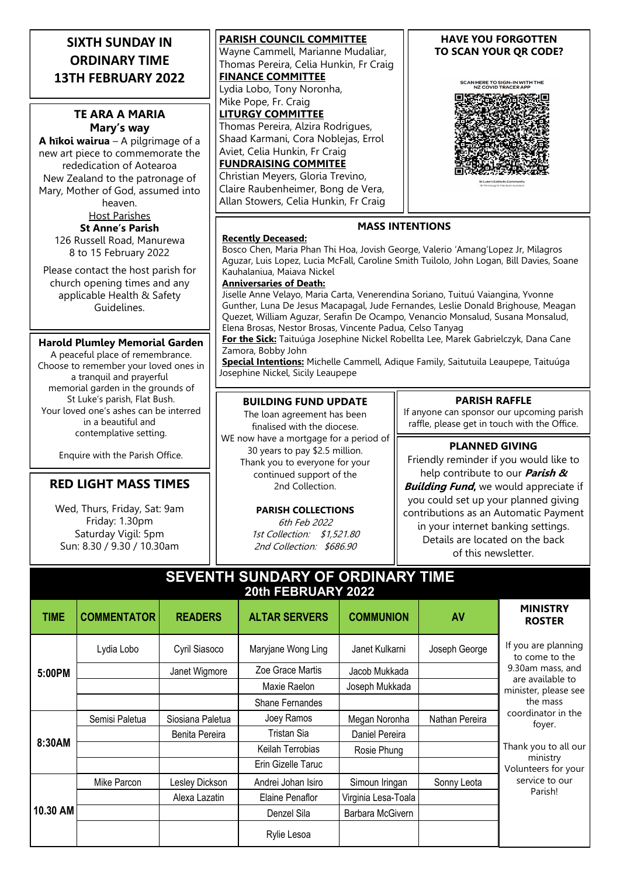# **SIXTH SUNDAY IN ORDINARY TIME 13TH FEBRUARY 2022**

## **TE ARA A MARIA Mary's way**

**A hīkoi wairua** – A pilgrimage of a new art piece to commemorate the rededication of Aotearoa New Zealand to the patronage of Mary, Mother of God, assumed into

> heaven. Host Parishes **St Anne's Parish**

126 Russell Road, Manurewa 8 to 15 February 2022

Please contact the host parish for church opening times and any applicable Health & Safety Guidelines.

#### **Harold Plumley Memorial Garden**

A peaceful place of remembrance. Choose to remember your loved ones in a tranquil and prayerful memorial garden in the grounds of St Luke's parish, Flat Bush. Your loved one's ashes can be interred in a beautiful and contemplative setting.

Enquire with the Parish Office.

## **RED LIGHT MASS TIMES**

Wed, Thurs, Friday, Sat: 9am Friday: 1.30pm Saturday Vigil: 5pm Sun: 8.30 / 9.30 / 10.30am

**PARISH COUNCIL COMMITTEE** Wayne Cammell, Marianne Mudaliar, Thomas Pereira, Celia Hunkin, Fr Craig **FINANCE COMMITTEE** Lydia Lobo, Tony Noronha, Mike Pope, Fr. Craig **LITURGY COMMITTEE** Thomas Pereira, Alzira Rodrigues, Shaad Karmani, Cora Noblejas, Errol Aviet, Celia Hunkin, Fr Craig **FUNDRAISING COMMITEE**

Christian Meyers, Gloria Trevino, Claire Raubenheimer, Bong de Vera, Allan Stowers, Celia Hunkin, Fr Craig

### **HAVE YOU FORGOTTEN TO SCAN YOUR QR CODE?**

SCAN HERE TO SIGN-IN WITH THE<br>NZ COVID TRACER APP



### **MASS INTENTIONS**

#### **Recently Deceased:**

Bosco Chen, Maria Phan Thi Hoa, Jovish George, Valerio 'Amang'Lopez Jr, Milagros Aguzar, Luis Lopez, Lucia McFall, Caroline Smith Tuilolo, John Logan, Bill Davies, Soane Kauhalaniua, Maiava Nickel

#### **Anniversaries of Death:**

Jiselle Anne Velayo, Maria Carta, Venerendina Soriano, Tuituú Vaiangina, Yvonne Gunther, Luna De Jesus Macapagal, Jude Fernandes, Leslie Donald Brighouse, Meagan Quezet, William Aguzar, Serafin De Ocampo, Venancio Monsalud, Susana Monsalud, Elena Brosas, Nestor Brosas, Vincente Padua, Celso Tanyag

**For the Sick:** Taituúga Josephine Nickel Robellta Lee, Marek Gabrielczyk, Dana Cane Zamora, Bobby John

**Special Intentions:** Michelle Cammell, Adique Family, Saitutuila Leaupepe, Taituúga Josephine Nickel, Sicily Leaupepe

### **BUILDING FUND UPDATE**

The loan agreement has been finalised with the diocese. WE now have a mortgage for a period of 30 years to pay \$2.5 million. Thank you to everyone for your continued support of the 2nd Collection.

# **PARISH COLLECTIONS**

6th Feb 2022 1st Collection: \$1,521.80 2nd Collection: \$686.90

#### **PARISH RAFFLE**

If anyone can sponsor our upcoming parish raffle, please get in touch with the Office.

### **PLANNED GIVING**

Friendly reminder if you would like to help contribute to our **Parish & Building Fund,** we would appreciate if you could set up your planned giving contributions as an Automatic Payment in your internet banking settings. Details are located on the back of this newsletter.

# **SEVENTH SUNDARY OF ORDINARY TIME 20th FEBRUARY 2022**

| <b>TIME</b> | <b>COMMENTATOR</b> | <b>READERS</b>   | <b>ALTAR SERVERS</b> | <b>COMMUNION</b>    | <b>AV</b>      | <b>MINISTRY</b><br><b>ROSTER</b>                                                                                                                                                                                                          |
|-------------|--------------------|------------------|----------------------|---------------------|----------------|-------------------------------------------------------------------------------------------------------------------------------------------------------------------------------------------------------------------------------------------|
| 5:00PM      | Lydia Lobo         | Cyril Siasoco    | Maryjane Wong Ling   | Janet Kulkarni      | Joseph George  | If you are planning<br>to come to the<br>9.30am mass, and<br>are available to<br>minister, please see<br>the mass<br>coordinator in the<br>foyer.<br>Thank you to all our<br>ministry<br>Volunteers for your<br>service to our<br>Parish! |
|             |                    | Janet Wigmore    | Zoe Grace Martis     | Jacob Mukkada       |                |                                                                                                                                                                                                                                           |
|             |                    |                  | Maxie Raelon         | Joseph Mukkada      |                |                                                                                                                                                                                                                                           |
|             |                    |                  | Shane Fernandes      |                     |                |                                                                                                                                                                                                                                           |
| 8:30AM      | Semisi Paletua     | Siosiana Paletua | Joey Ramos           | Megan Noronha       | Nathan Pereira |                                                                                                                                                                                                                                           |
|             |                    | Benita Pereira   | Tristan Sia          | Daniel Pereira      |                |                                                                                                                                                                                                                                           |
|             |                    |                  | Keilah Terrobias     | Rosie Phung         |                |                                                                                                                                                                                                                                           |
|             |                    |                  | Erin Gizelle Taruc   |                     |                |                                                                                                                                                                                                                                           |
| 10.30 AM    | Mike Parcon        | Lesley Dickson   | Andrei Johan Isiro   | Simoun Iringan      | Sonny Leota    |                                                                                                                                                                                                                                           |
|             |                    | Alexa Lazatin    | Elaine Penaflor      | Virginia Lesa-Toala |                |                                                                                                                                                                                                                                           |
|             |                    |                  | Denzel Sila          | Barbara McGivern    |                |                                                                                                                                                                                                                                           |
|             |                    |                  | Rylie Lesoa          |                     |                |                                                                                                                                                                                                                                           |